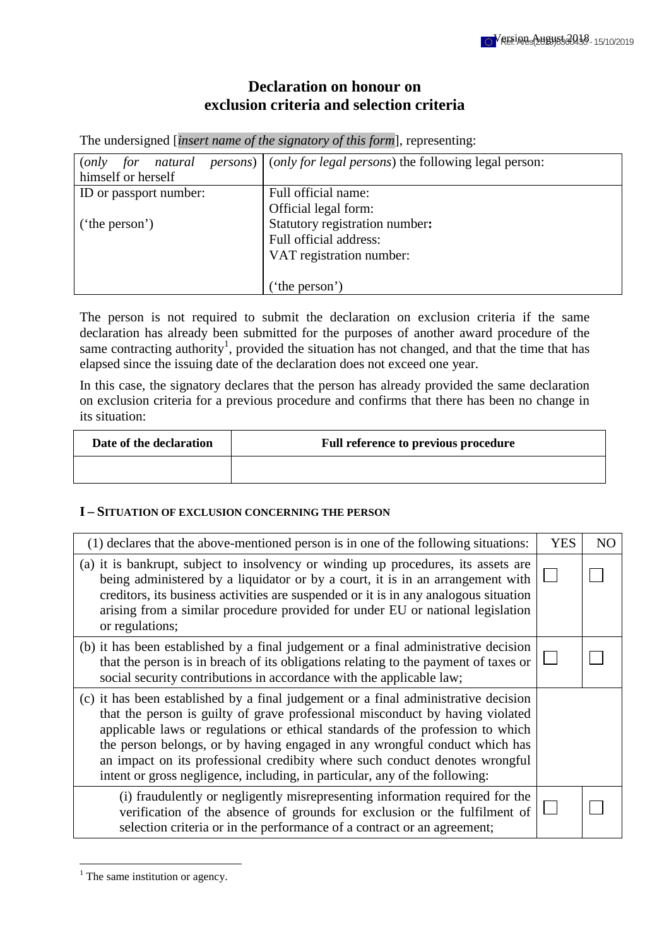# **Declaration on honour on exclusion criteria and selection criteria**

The undersigned [*insert name of the signatory of this form*], representing:

| natural<br>for<br>( <i>only</i> | <i>persons</i> ) ( <i>only for legal persons</i> ) the following legal person: |
|---------------------------------|--------------------------------------------------------------------------------|
| himself or herself              |                                                                                |
| ID or passport number:          | Full official name:                                                            |
|                                 | Official legal form:                                                           |
| $'$ the person')                | Statutory registration number:                                                 |
|                                 | Full official address:                                                         |
|                                 | VAT registration number:                                                       |
|                                 |                                                                                |
|                                 | ('the person')                                                                 |

The person is not required to submit the declaration on exclusion criteria if the same declaration has already been submitted for the purposes of another award procedure of the same contracting authority<sup>1</sup>, provided the situation has not changed, and that the time that has elapsed since the issuing date of the declaration does not exceed one year.

In this case, the signatory declares that the person has already provided the same declaration on exclusion criteria for a previous procedure and confirms that there has been no change in its situation:

| Date of the declaration | Full reference to previous procedure |
|-------------------------|--------------------------------------|
|                         |                                      |

#### **I – SITUATION OF EXCLUSION CONCERNING THE PERSON**

| (1) declares that the above-mentioned person is in one of the following situations:                                                                                                                                                                                                                                                                                                                                                                                                                | <b>YES</b> | NO |
|----------------------------------------------------------------------------------------------------------------------------------------------------------------------------------------------------------------------------------------------------------------------------------------------------------------------------------------------------------------------------------------------------------------------------------------------------------------------------------------------------|------------|----|
| (a) it is bankrupt, subject to insolvency or winding up procedures, its assets are<br>being administered by a liquidator or by a court, it is in an arrangement with<br>creditors, its business activities are suspended or it is in any analogous situation<br>arising from a similar procedure provided for under EU or national legislation<br>or regulations;                                                                                                                                  |            |    |
| (b) it has been established by a final judgement or a final administrative decision<br>that the person is in breach of its obligations relating to the payment of taxes or<br>social security contributions in accordance with the applicable law;                                                                                                                                                                                                                                                 |            |    |
| (c) it has been established by a final judgement or a final administrative decision<br>that the person is guilty of grave professional misconduct by having violated<br>applicable laws or regulations or ethical standards of the profession to which<br>the person belongs, or by having engaged in any wrongful conduct which has<br>an impact on its professional credibity where such conduct denotes wrongful<br>intent or gross negligence, including, in particular, any of the following: |            |    |
| (i) fraudulently or negligently misrepresenting information required for the<br>verification of the absence of grounds for exclusion or the fulfilment of<br>selection criteria or in the performance of a contract or an agreement;                                                                                                                                                                                                                                                               |            |    |

<sup>&</sup>lt;sup>1</sup> The same institution or agency.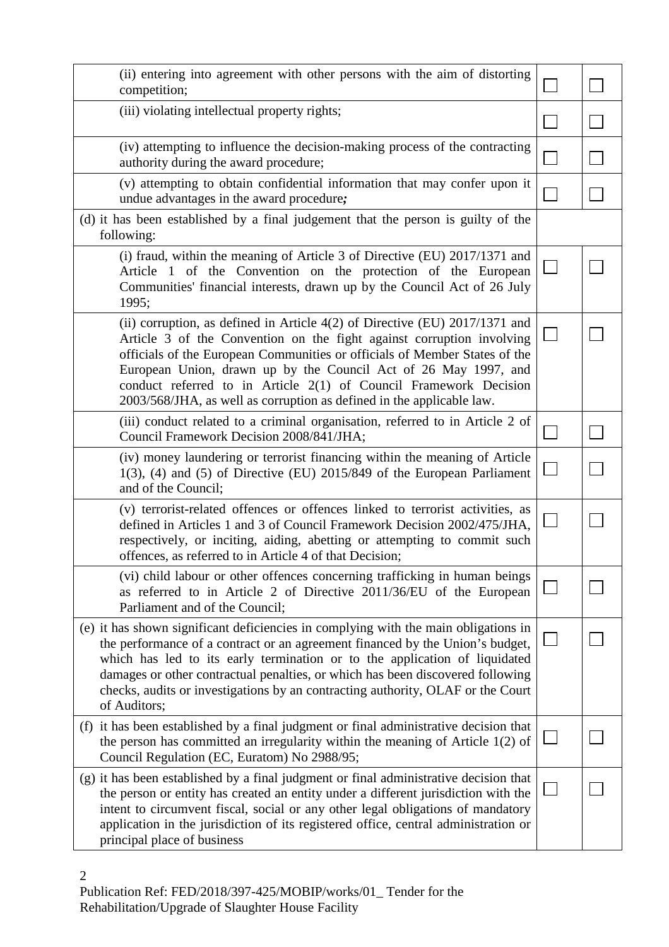| (ii) entering into agreement with other persons with the aim of distorting<br>competition;                                                                                                                                                                                                                                                                                                                                                            |  |
|-------------------------------------------------------------------------------------------------------------------------------------------------------------------------------------------------------------------------------------------------------------------------------------------------------------------------------------------------------------------------------------------------------------------------------------------------------|--|
| (iii) violating intellectual property rights;                                                                                                                                                                                                                                                                                                                                                                                                         |  |
| (iv) attempting to influence the decision-making process of the contracting<br>authority during the award procedure;                                                                                                                                                                                                                                                                                                                                  |  |
| (v) attempting to obtain confidential information that may confer upon it<br>undue advantages in the award procedure;                                                                                                                                                                                                                                                                                                                                 |  |
| (d) it has been established by a final judgement that the person is guilty of the<br>following:                                                                                                                                                                                                                                                                                                                                                       |  |
| (i) fraud, within the meaning of Article 3 of Directive (EU) 2017/1371 and<br>Article 1 of the Convention on the protection of the European<br>Communities' financial interests, drawn up by the Council Act of 26 July<br>1995;                                                                                                                                                                                                                      |  |
| (ii) corruption, as defined in Article $4(2)$ of Directive (EU) 2017/1371 and<br>Article 3 of the Convention on the fight against corruption involving<br>officials of the European Communities or officials of Member States of the<br>European Union, drawn up by the Council Act of 26 May 1997, and<br>conduct referred to in Article 2(1) of Council Framework Decision<br>2003/568/JHA, as well as corruption as defined in the applicable law. |  |
| (iii) conduct related to a criminal organisation, referred to in Article 2 of<br>Council Framework Decision 2008/841/JHA;                                                                                                                                                                                                                                                                                                                             |  |
| (iv) money laundering or terrorist financing within the meaning of Article<br>$1(3)$ , (4) and (5) of Directive (EU) 2015/849 of the European Parliament<br>and of the Council;                                                                                                                                                                                                                                                                       |  |
| (v) terrorist-related offences or offences linked to terrorist activities, as<br>defined in Articles 1 and 3 of Council Framework Decision 2002/475/JHA,<br>respectively, or inciting, aiding, abetting or attempting to commit such<br>offences, as referred to in Article 4 of that Decision;                                                                                                                                                       |  |
| (vi) child labour or other offences concerning trafficking in human beings<br>as referred to in Article 2 of Directive 2011/36/EU of the European<br>Parliament and of the Council;                                                                                                                                                                                                                                                                   |  |
| (e) it has shown significant deficiencies in complying with the main obligations in<br>the performance of a contract or an agreement financed by the Union's budget,<br>which has led to its early termination or to the application of liquidated<br>damages or other contractual penalties, or which has been discovered following<br>checks, audits or investigations by an contracting authority, OLAF or the Court<br>of Auditors;               |  |
| (f) it has been established by a final judgment or final administrative decision that<br>the person has committed an irregularity within the meaning of Article $1(2)$ of<br>Council Regulation (EC, Euratom) No 2988/95;                                                                                                                                                                                                                             |  |
| (g) it has been established by a final judgment or final administrative decision that<br>the person or entity has created an entity under a different jurisdiction with the<br>intent to circumvent fiscal, social or any other legal obligations of mandatory<br>application in the jurisdiction of its registered office, central administration or<br>principal place of business                                                                  |  |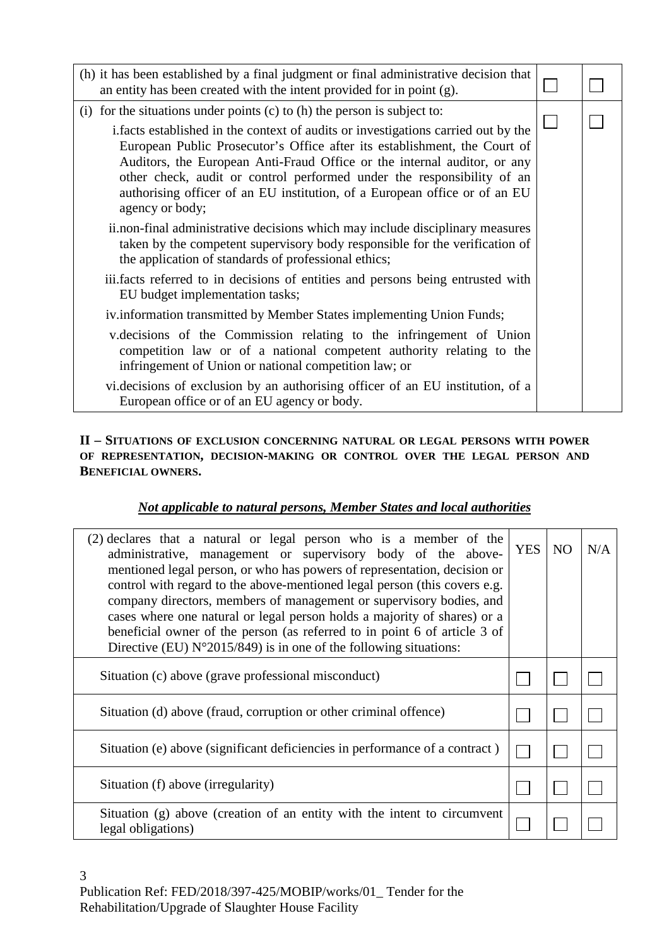| (h) it has been established by a final judgment or final administrative decision that<br>an entity has been created with the intent provided for in point $(g)$ .                                                                                                                                                                                                                                 |  |
|---------------------------------------------------------------------------------------------------------------------------------------------------------------------------------------------------------------------------------------------------------------------------------------------------------------------------------------------------------------------------------------------------|--|
| (i) for the situations under points (c) to (h) the person is subject to:<br>i. facts established in the context of audits or investigations carried out by the<br>European Public Prosecutor's Office after its establishment, the Court of<br>Auditors, the European Anti-Fraud Office or the internal auditor, or any<br>other check, audit or control performed under the responsibility of an |  |
| authorising officer of an EU institution, of a European office or of an EU<br>agency or body;<br>ii.non-final administrative decisions which may include disciplinary measures<br>taken by the competent supervisory body responsible for the verification of<br>the application of standards of professional ethics;                                                                             |  |
| iii.facts referred to in decisions of entities and persons being entrusted with<br>EU budget implementation tasks;                                                                                                                                                                                                                                                                                |  |
| iv.information transmitted by Member States implementing Union Funds;                                                                                                                                                                                                                                                                                                                             |  |
| v. decisions of the Commission relating to the infringement of Union<br>competition law or of a national competent authority relating to the<br>infringement of Union or national competition law; or                                                                                                                                                                                             |  |
| vi. decisions of exclusion by an authorising officer of an EU institution, of a<br>European office or of an EU agency or body.                                                                                                                                                                                                                                                                    |  |

# **II – SITUATIONS OF EXCLUSION CONCERNING NATURAL OR LEGAL PERSONS WITH POWER OF REPRESENTATION, DECISION-MAKING OR CONTROL OVER THE LEGAL PERSON AND BENEFICIAL OWNERS.**

# *Not applicable to natural persons, Member States and local authorities*

| (2) declares that a natural or legal person who is a member of the<br>administrative, management or supervisory body of the above-<br>mentioned legal person, or who has powers of representation, decision or<br>control with regard to the above-mentioned legal person (this covers e.g.<br>company directors, members of management or supervisory bodies, and<br>cases where one natural or legal person holds a majority of shares) or a<br>beneficial owner of the person (as referred to in point 6 of article 3 of<br>Directive (EU) $N^{\circ}2015/849$ ) is in one of the following situations: | <b>YES</b> | NO. | N/A |
|------------------------------------------------------------------------------------------------------------------------------------------------------------------------------------------------------------------------------------------------------------------------------------------------------------------------------------------------------------------------------------------------------------------------------------------------------------------------------------------------------------------------------------------------------------------------------------------------------------|------------|-----|-----|
| Situation (c) above (grave professional misconduct)                                                                                                                                                                                                                                                                                                                                                                                                                                                                                                                                                        |            |     |     |
| Situation (d) above (fraud, corruption or other criminal offence)                                                                                                                                                                                                                                                                                                                                                                                                                                                                                                                                          |            |     |     |
| Situation (e) above (significant deficiencies in performance of a contract)                                                                                                                                                                                                                                                                                                                                                                                                                                                                                                                                |            |     |     |
| Situation (f) above (irregularity)                                                                                                                                                                                                                                                                                                                                                                                                                                                                                                                                                                         |            |     |     |
| Situation (g) above (creation of an entity with the intent to circumvent<br>legal obligations)                                                                                                                                                                                                                                                                                                                                                                                                                                                                                                             |            |     |     |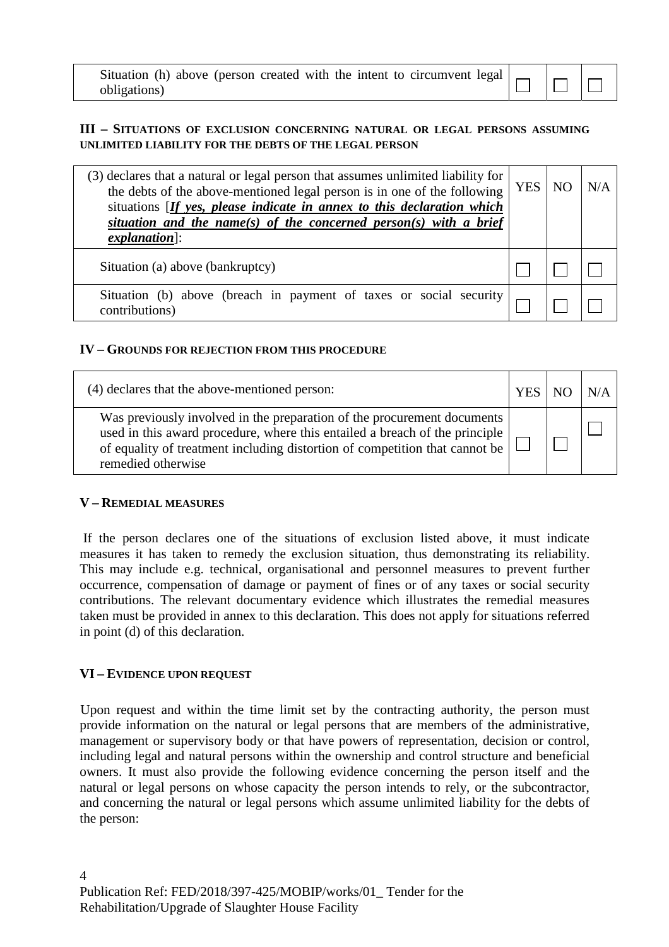Situation (h) above (person created with the intent to circumvent legal obligations)

## **III – SITUATIONS OF EXCLUSION CONCERNING NATURAL OR LEGAL PERSONS ASSUMING UNLIMITED LIABILITY FOR THE DEBTS OF THE LEGAL PERSON**

| (3) declares that a natural or legal person that assumes unlimited liability for<br>the debts of the above-mentioned legal person is in one of the following<br>situations [If yes, please indicate in annex to this declaration which |  | <b>YES</b><br>NO | N/A |
|----------------------------------------------------------------------------------------------------------------------------------------------------------------------------------------------------------------------------------------|--|------------------|-----|
| situation and the name(s) of the concerned person(s) with a brief<br>$explanation$ :                                                                                                                                                   |  |                  |     |
| Situation (a) above (bankruptcy)                                                                                                                                                                                                       |  |                  |     |
| Situation (b) above (breach in payment of taxes or social security<br>contributions)                                                                                                                                                   |  |                  |     |

#### **IV – GROUNDS FOR REJECTION FROM THIS PROCEDURE**

| (4) declares that the above-mentioned person:                                                                                                                                                                                                               | YES |  |
|-------------------------------------------------------------------------------------------------------------------------------------------------------------------------------------------------------------------------------------------------------------|-----|--|
| Was previously involved in the preparation of the procurement documents<br>used in this award procedure, where this entailed a breach of the principle<br>of equality of treatment including distortion of competition that cannot be<br>remedied otherwise |     |  |

#### **V – REMEDIAL MEASURES**

 If the person declares one of the situations of exclusion listed above, it must indicate measures it has taken to remedy the exclusion situation, thus demonstrating its reliability. This may include e.g. technical, organisational and personnel measures to prevent further occurrence, compensation of damage or payment of fines or of any taxes or social security contributions. The relevant documentary evidence which illustrates the remedial measures taken must be provided in annex to this declaration. This does not apply for situations referred in point (d) of this declaration.

## **VI – EVIDENCE UPON REQUEST**

Upon request and within the time limit set by the contracting authority, the person must provide information on the natural or legal persons that are members of the administrative, management or supervisory body or that have powers of representation, decision or control, including legal and natural persons within the ownership and control structure and beneficial owners. It must also provide the following evidence concerning the person itself and the natural or legal persons on whose capacity the person intends to rely, or the subcontractor, and concerning the natural or legal persons which assume unlimited liability for the debts of the person: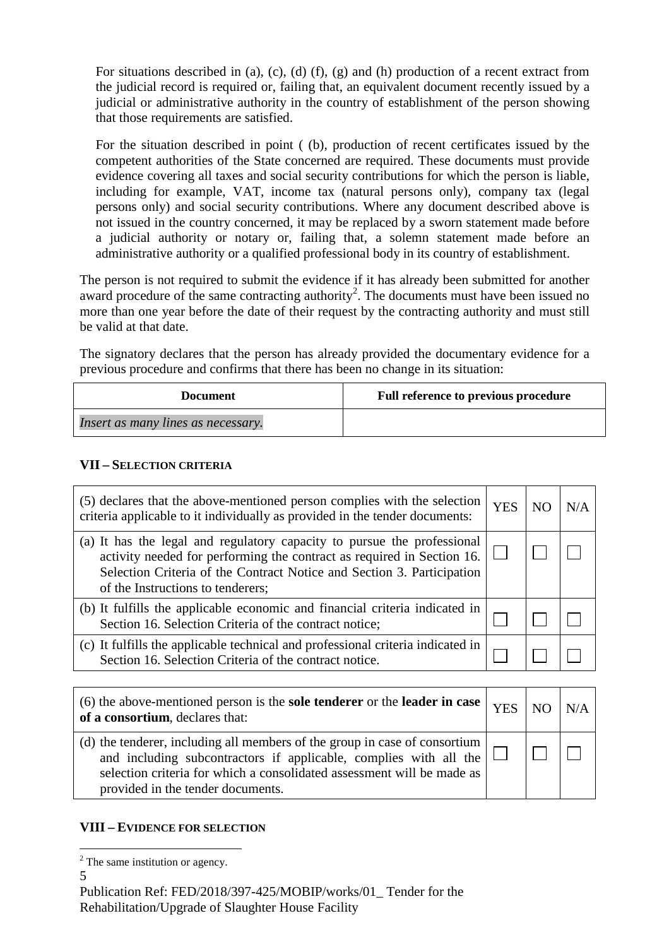For situations described in (a), (c), (d) (f), (g) and (h) production of a recent extract from the judicial record is required or, failing that, an equivalent document recently issued by a judicial or administrative authority in the country of establishment of the person showing that those requirements are satisfied.

For the situation described in point ( (b), production of recent certificates issued by the competent authorities of the State concerned are required. These documents must provide evidence covering all taxes and social security contributions for which the person is liable, including for example, VAT, income tax (natural persons only), company tax (legal persons only) and social security contributions. Where any document described above is not issued in the country concerned, it may be replaced by a sworn statement made before a judicial authority or notary or, failing that, a solemn statement made before an administrative authority or a qualified professional body in its country of establishment.

The person is not required to submit the evidence if it has already been submitted for another award procedure of the same contracting authority<sup>2</sup>. The documents must have been issued no more than one year before the date of their request by the contracting authority and must still be valid at that date.

The signatory declares that the person has already provided the documentary evidence for a previous procedure and confirms that there has been no change in its situation:

| Document                           | Full reference to previous procedure |
|------------------------------------|--------------------------------------|
| Insert as many lines as necessary. |                                      |

## **VII – SELECTION CRITERIA**

| (5) declares that the above-mentioned person complies with the selection<br>criteria applicable to it individually as provided in the tender documents:                                                                                                          | <b>YES</b> | N/A |
|------------------------------------------------------------------------------------------------------------------------------------------------------------------------------------------------------------------------------------------------------------------|------------|-----|
| (a) It has the legal and regulatory capacity to pursue the professional<br>activity needed for performing the contract as required in Section 16.<br>Selection Criteria of the Contract Notice and Section 3. Participation<br>of the Instructions to tenderers; |            |     |
| (b) It fulfills the applicable economic and financial criteria indicated in<br>Section 16. Selection Criteria of the contract notice;                                                                                                                            |            |     |
| (c) It fulfills the applicable technical and professional criteria indicated in<br>Section 16. Selection Criteria of the contract notice.                                                                                                                        |            |     |

| $(6)$ the above-mentioned person is the <b>sole tenderer</b> or the <b>leader in case</b><br>of a consortium, declares that:                                                                                                                                             | <b>YES</b> | N/A |
|--------------------------------------------------------------------------------------------------------------------------------------------------------------------------------------------------------------------------------------------------------------------------|------------|-----|
| (d) the tenderer, including all members of the group in case of consortium  <br>and including subcontractors if applicable, complies with all the $\vert$<br>selection criteria for which a consolidated assessment will be made as<br>provided in the tender documents. |            |     |

#### **VIII – EVIDENCE FOR SELECTION**

5

<sup>&</sup>lt;sup>2</sup> The same institution or agency.

Publication Ref: FED/2018/397-425/MOBIP/works/01\_ Tender for the Rehabilitation/Upgrade of Slaughter House Facility